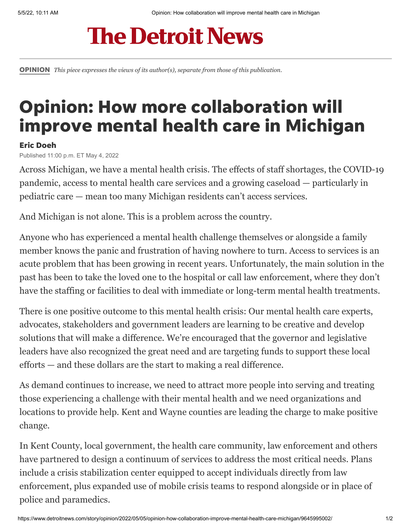## **The Detroit News**

[OPINION](https://www.detroitnews.com/opinion/) *This piece expresses the views of its author(s), separate from those of this publication.*

## Opinion: How more collaboration will improve mental health care in Michigan

## Eric Doeh

Published 11:00 p.m. ET May 4, 2022

Across Michigan, we have a mental health crisis. The effects of staff shortages, the COVID-19 pandemic, access to mental health care services and a growing caseload — particularly in pediatric care — mean too many Michigan residents can't access services.

And Michigan is not alone. This is a problem across the country.

Anyone who has experienced a mental health challenge themselves or alongside a family member knows the panic and frustration of having nowhere to turn. Access to services is an acute problem that has been growing in recent years. Unfortunately, the main solution in the past has been to take the loved one to the hospital or call law enforcement, where they don't have the staffing or facilities to deal with immediate or long-term mental health treatments.

There is one positive outcome to this mental health crisis: Our mental health care experts, advocates, stakeholders and government leaders are learning to be creative and develop solutions that will make a difference. We're encouraged that the governor and legislative leaders have also recognized the great need and are targeting funds to support these local efforts — and these dollars are the start to making a real difference.

As demand continues to increase, we need to attract more people into serving and treating those experiencing a challenge with their mental health and we need organizations and locations to provide help. Kent and Wayne counties are leading the charge to make positive change.

In Kent County, local government, the health care community, law enforcement and others have partnered to design a continuum of services to address the most critical needs. Plans include a crisis stabilization center equipped to accept individuals directly from law enforcement, plus expanded use of mobile crisis teams to respond alongside or in place of police and paramedics.